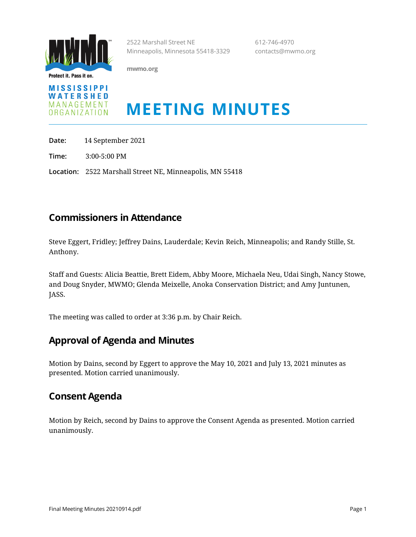

Protect it. Pass it on.

**mwmo.org**



# **MEETING MINUTES**

2522 Marshall Street NE 612-746-4970

Minneapolis, Minnesota 55418-3329 contacts@mwmo.org

**Date:** 14 September 2021

**Time:** 3:00-5:00 PM

**Location:** 2522 Marshall Street NE, Minneapolis, MN 55418

#### **Commissioners in Attendance**

Steve Eggert, Fridley; Jeffrey Dains, Lauderdale; Kevin Reich, Minneapolis; and Randy Stille, St. Anthony.

Staff and Guests: Alicia Beattie, Brett Eidem, Abby Moore, Michaela Neu, Udai Singh, Nancy Stowe, and Doug Snyder, MWMO; Glenda Meixelle, Anoka Conservation District; and Amy Juntunen, JASS.

The meeting was called to order at 3:36 p.m. by Chair Reich.

#### **Approval of Agenda and Minutes**

Motion by Dains, second by Eggert to approve the May 10, 2021 and July 13, 2021 minutes as presented. Motion carried unanimously.

#### **Consent Agenda**

Motion by Reich, second by Dains to approve the Consent Agenda as presented. Motion carried unanimously.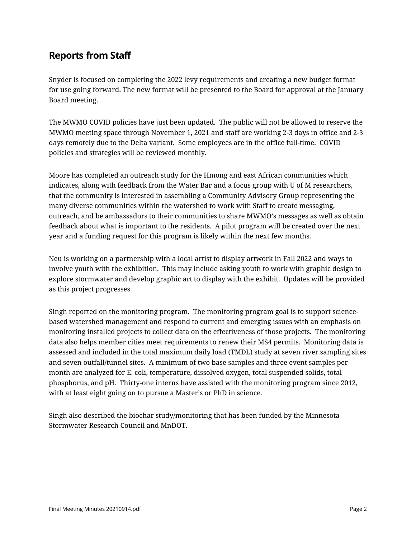## **Reports from Staff**

Snyder is focused on completing the 2022 levy requirements and creating a new budget format for use going forward. The new format will be presented to the Board for approval at the January Board meeting.

The MWMO COVID policies have just been updated. The public will not be allowed to reserve the MWMO meeting space through November 1, 2021 and staff are working 2-3 days in office and 2-3 days remotely due to the Delta variant. Some employees are in the office full-time. COVID policies and strategies will be reviewed monthly.

Moore has completed an outreach study for the Hmong and east African communities which indicates, along with feedback from the Water Bar and a focus group with U of M researchers, that the community is interested in assembling a Community Advisory Group representing the many diverse communities within the watershed to work with Staff to create messaging, outreach, and be ambassadors to their communities to share MWMO's messages as well as obtain feedback about what is important to the residents. A pilot program will be created over the next year and a funding request for this program is likely within the next few months.

Neu is working on a partnership with a local artist to display artwork in Fall 2022 and ways to involve youth with the exhibition. This may include asking youth to work with graphic design to explore stormwater and develop graphic art to display with the exhibit. Updates will be provided as this project progresses.

Singh reported on the monitoring program. The monitoring program goal is to support sciencebased watershed management and respond to current and emerging issues with an emphasis on monitoring installed projects to collect data on the effectiveness of those projects. The monitoring data also helps member cities meet requirements to renew their MS4 permits. Monitoring data is assessed and included in the total maximum daily load (TMDL) study at seven river sampling sites and seven outfall/tunnel sites. A minimum of two base samples and three event samples per month are analyzed for E. coli, temperature, dissolved oxygen, total suspended solids, total phosphorus, and pH. Thirty-one interns have assisted with the monitoring program since 2012, with at least eight going on to pursue a Master's or PhD in science.

Singh also described the biochar study/monitoring that has been funded by the Minnesota Stormwater Research Council and MnDOT.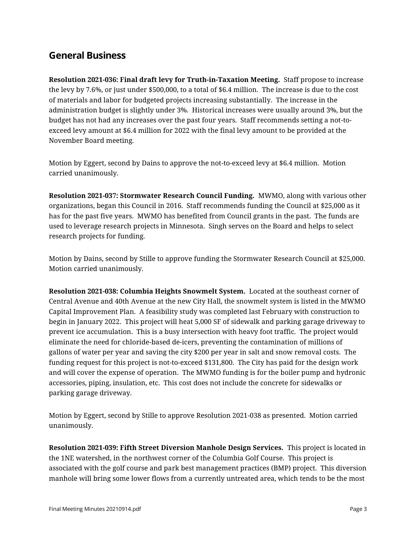### **General Business**

**Resolution 2021-036: Final draft levy for Truth-in-Taxation Meeting.** Staff propose to increase the levy by 7.6%, or just under \$500,000, to a total of \$6.4 million. The increase is due to the cost of materials and labor for budgeted projects increasing substantially. The increase in the administration budget is slightly under 3%. Historical increases were usually around 3%, but the budget has not had any increases over the past four years. Staff recommends setting a not-toexceed levy amount at \$6.4 million for 2022 with the final levy amount to be provided at the November Board meeting.

Motion by Eggert, second by Dains to approve the not-to-exceed levy at \$6.4 million. Motion carried unanimously.

**Resolution 2021-037: Stormwater Research Council Funding.** MWMO, along with various other organizations, began this Council in 2016. Staff recommends funding the Council at \$25,000 as it has for the past five years. MWMO has benefited from Council grants in the past. The funds are used to leverage research projects in Minnesota. Singh serves on the Board and helps to select research projects for funding.

Motion by Dains, second by Stille to approve funding the Stormwater Research Council at \$25,000. Motion carried unanimously.

**Resolution 2021-038: Columbia Heights Snowmelt System.** Located at the southeast corner of Central Avenue and 40th Avenue at the new City Hall, the snowmelt system is listed in the MWMO Capital Improvement Plan. A feasibility study was completed last February with construction to begin in January 2022. This project will heat 5,000 SF of sidewalk and parking garage driveway to prevent ice accumulation. This is a busy intersection with heavy foot traffic. The project would eliminate the need for chloride-based de-icers, preventing the contamination of millions of gallons of water per year and saving the city \$200 per year in salt and snow removal costs. The funding request for this project is not-to-exceed \$131,800. The City has paid for the design work and will cover the expense of operation. The MWMO funding is for the boiler pump and hydronic accessories, piping, insulation, etc. This cost does not include the concrete for sidewalks or parking garage driveway.

Motion by Eggert, second by Stille to approve Resolution 2021-038 as presented. Motion carried unanimously.

**Resolution 2021-039: Fifth Street Diversion Manhole Design Services.** This project is located in the 1NE watershed, in the northwest corner of the Columbia Golf Course. This project is associated with the golf course and park best management practices (BMP) project. This diversion manhole will bring some lower flows from a currently untreated area, which tends to be the most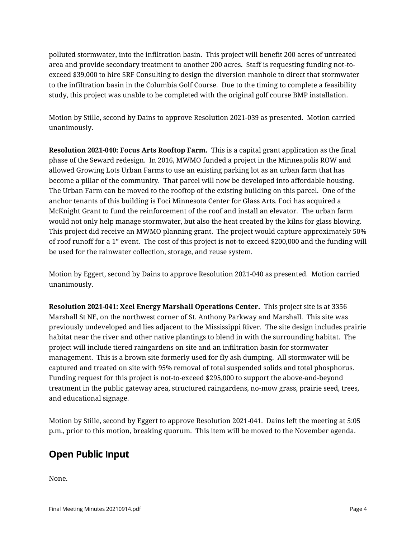polluted stormwater, into the infiltration basin. This project will benefit 200 acres of untreated area and provide secondary treatment to another 200 acres. Staff is requesting funding not-toexceed \$39,000 to hire SRF Consulting to design the diversion manhole to direct that stormwater to the infiltration basin in the Columbia Golf Course. Due to the timing to complete a feasibility study, this project was unable to be completed with the original golf course BMP installation.

Motion by Stille, second by Dains to approve Resolution 2021-039 as presented. Motion carried unanimously.

**Resolution 2021-040: Focus Arts Rooftop Farm.** This is a capital grant application as the final phase of the Seward redesign. In 2016, MWMO funded a project in the Minneapolis ROW and allowed Growing Lots Urban Farms to use an existing parking lot as an urban farm that has become a pillar of the community. That parcel will now be developed into affordable housing. The Urban Farm can be moved to the rooftop of the existing building on this parcel. One of the anchor tenants of this building is Foci Minnesota Center for Glass Arts. Foci has acquired a McKnight Grant to fund the reinforcement of the roof and install an elevator. The urban farm would not only help manage stormwater, but also the heat created by the kilns for glass blowing. This project did receive an MWMO planning grant. The project would capture approximately 50% of roof runoff for a 1" event. The cost of this project is not-to-exceed \$200,000 and the funding will be used for the rainwater collection, storage, and reuse system.

Motion by Eggert, second by Dains to approve Resolution 2021-040 as presented. Motion carried unanimously.

**Resolution 2021-041: Xcel Energy Marshall Operations Center.** This project site is at 3356 Marshall St NE, on the northwest corner of St. Anthony Parkway and Marshall. This site was previously undeveloped and lies adjacent to the Mississippi River. The site design includes prairie habitat near the river and other native plantings to blend in with the surrounding habitat. The project will include tiered raingardens on site and an infiltration basin for stormwater management. This is a brown site formerly used for fly ash dumping. All stormwater will be captured and treated on site with 95% removal of total suspended solids and total phosphorus. Funding request for this project is not-to-exceed \$295,000 to support the above-and-beyond treatment in the public gateway area, structured raingardens, no-mow grass, prairie seed, trees, and educational signage.

Motion by Stille, second by Eggert to approve Resolution 2021-041. Dains left the meeting at 5:05 p.m., prior to this motion, breaking quorum. This item will be moved to the November agenda.

#### **Open Public Input**

None.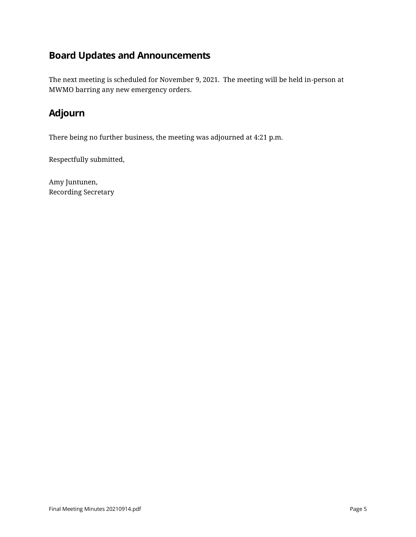# **Board Updates and Announcements**

The next meeting is scheduled for November 9, 2021. The meeting will be held in-person at MWMO barring any new emergency orders.

## **Adjourn**

There being no further business, the meeting was adjourned at 4:21 p.m.

Respectfully submitted,

Amy Juntunen, Recording Secretary